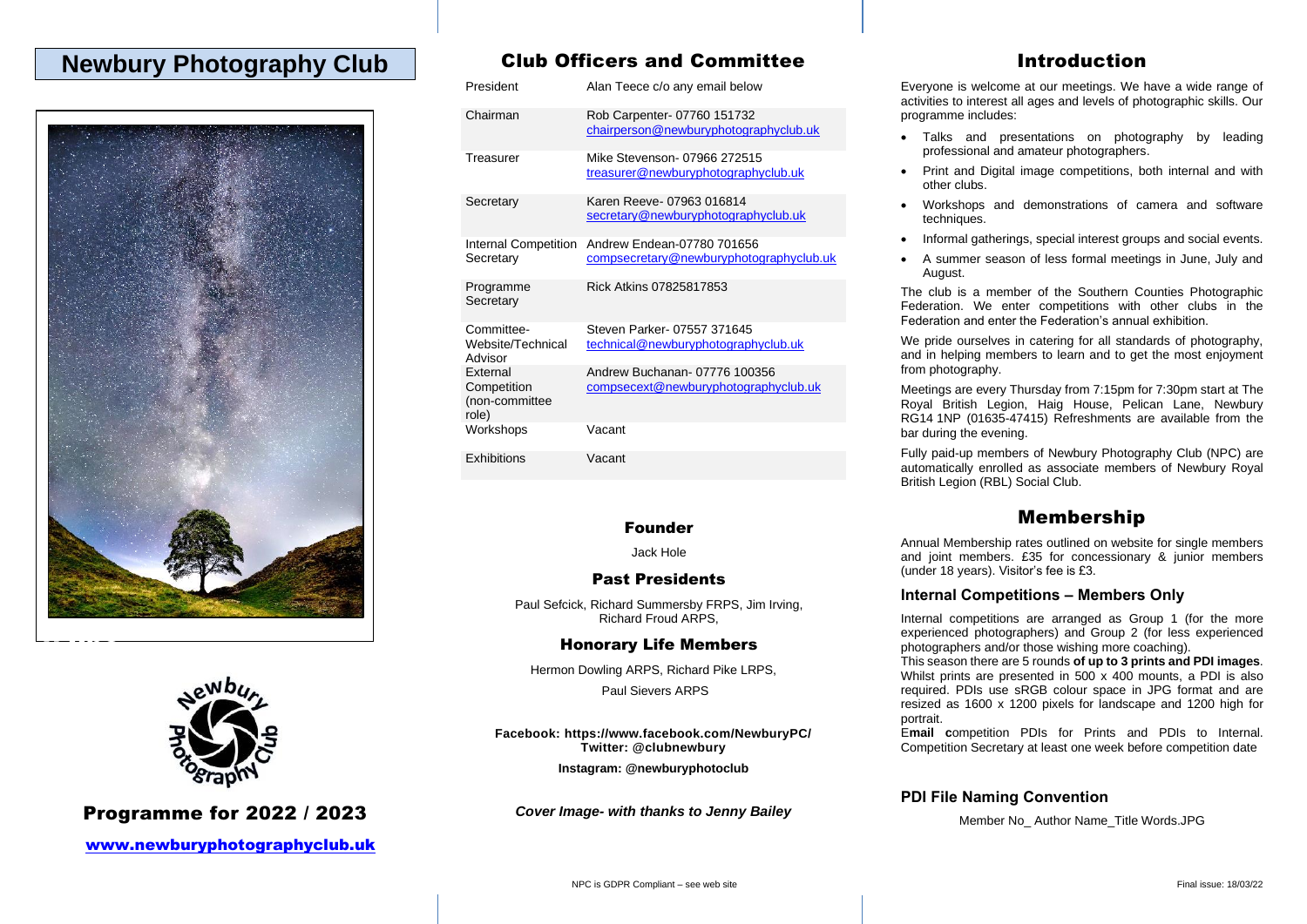## **Newbury Photography Club**





### Programme for 2022 / 2023

[www.newburyphotographyclub.uk](http://www.newburyphotographyclub.uk/)

## Club Officers and Committee

|  | President                                                 | Alan Teece c/o any email below                                        |
|--|-----------------------------------------------------------|-----------------------------------------------------------------------|
|  | Chairman                                                  | Rob Carpenter-07760 151732<br>chairperson@newburyphotographyclub.uk   |
|  | Treasurer                                                 | Mike Stevenson- 07966 272515<br>treasurer@newburyphotographyclub.uk   |
|  | Secretary                                                 | Karen Reeve- 07963 016814<br>secretary@newburyphotographyclub.uk      |
|  | <b>Internal Competition</b><br>Secretary                  | Andrew Endean-07780 701656<br>compsecretary@newburyphotographyclub.uk |
|  | Programme<br>Secretary                                    | Rick Atkins 07825817853                                               |
|  | Committee-<br>Website/Technical<br>Advisor                | Steven Parker- 07557 371645<br>technical@newburyphotographyclub.uk    |
|  | <b>External</b><br>Competition<br>(non-committee<br>role) | Andrew Buchanan- 07776 100356<br>compsecext@newburyphotographyclub.uk |
|  | Workshops                                                 | Vacant                                                                |
|  | Exhibitions                                               | Vacant                                                                |

#### Founder

Jack Hole

#### Past Presidents

Paul Sefcick, Richard Summersby FRPS, Jim Irving, Richard Froud ARPS,

#### Honorary Life Members

Hermon Dowling ARPS, Richard Pike LRPS, Paul Sievers ARPS

**Facebook: https://www.facebook.com/NewburyPC/ Twitter: @clubnewbury**

**Instagram: @newburyphotoclub**

*Cover Image- with thanks to Jenny Bailey*

## Introduction

Everyone is welcome at our meetings. We have a wide range of activities to interest all ages and levels of photographic skills. Our programme includes:

- Talks and presentations on photography by leading professional and amateur photographers.
- Print and Digital image competitions, both internal and with other clubs.
- Workshops and demonstrations of camera and software techniques.
- Informal gatherings, special interest groups and social events.
- A summer season of less formal meetings in June, July and August.

The club is a member of the Southern Counties Photographic Federation. We enter competitions with other clubs in the Federation and enter the Federation's annual exhibition.

We pride ourselves in catering for all standards of photography, and in helping members to learn and to get the most enjoyment from photography.

Meetings are every Thursday from 7:15pm for 7:30pm start at The Royal British Legion, Haig House, Pelican Lane, Newbury RG14 1NP (01635-47415) Refreshments are available from the bar during the evening.

Fully paid-up members of Newbury Photography Club (NPC) are automatically enrolled as associate members of Newbury Royal British Legion (RBL) Social Club.

## Membership

Annual Membership rates outlined on website for single members and joint members. £35 for concessionary & junior members (under 18 years). Visitor's fee is £3.

#### **Internal Competitions – Members Only**

Internal competitions are arranged as Group 1 (for the more experienced photographers) and Group 2 (for less experienced photographers and/or those wishing more coaching).

This season there are 5 rounds **of up to 3 prints and PDI images**. Whilst prints are presented in 500 x 400 mounts, a PDI is also required. PDIs use sRGB colour space in JPG format and are resized as 1600 x 1200 pixels for landscape and 1200 high for portrait.

E**mail c**ompetition PDIs for Prints and PDIs to Internal. Competition Secretary at least one week before competition date

#### **PDI File Naming Convention**

Member No\_ Author Name\_Title Words.JPG